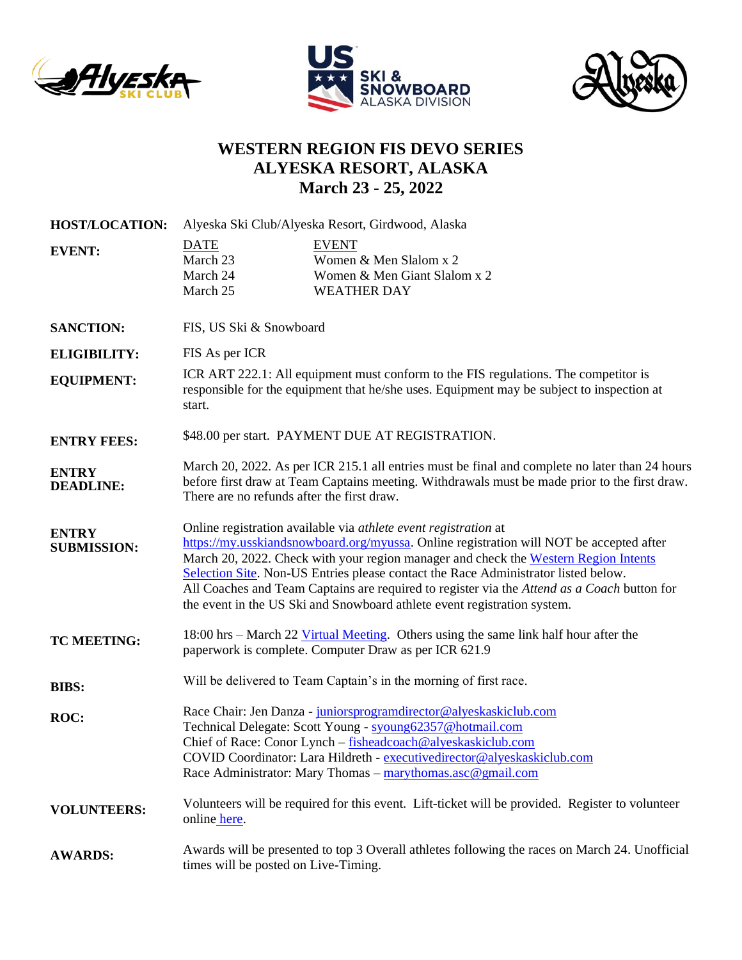





## **WESTERN REGION FIS DEVO SERIES ALYESKA RESORT, ALASKA March 23 - 25, 2022**

| <b>HOST/LOCATION:</b>              | Alyeska Ski Club/Alyeska Resort, Girdwood, Alaska                                                                                                                                                                                                                                                                                                                                                                                                                                                                  |                                                                                                                                                                                                                                                                                                                                         |
|------------------------------------|--------------------------------------------------------------------------------------------------------------------------------------------------------------------------------------------------------------------------------------------------------------------------------------------------------------------------------------------------------------------------------------------------------------------------------------------------------------------------------------------------------------------|-----------------------------------------------------------------------------------------------------------------------------------------------------------------------------------------------------------------------------------------------------------------------------------------------------------------------------------------|
| <b>EVENT:</b>                      | <b>DATE</b><br>March 23<br>March 24<br>March 25                                                                                                                                                                                                                                                                                                                                                                                                                                                                    | <b>EVENT</b><br>Women & Men Slalom x 2<br>Women & Men Giant Slalom x 2<br><b>WEATHER DAY</b>                                                                                                                                                                                                                                            |
| <b>SANCTION:</b>                   | FIS, US Ski & Snowboard                                                                                                                                                                                                                                                                                                                                                                                                                                                                                            |                                                                                                                                                                                                                                                                                                                                         |
| <b>ELIGIBILITY:</b>                | FIS As per ICR                                                                                                                                                                                                                                                                                                                                                                                                                                                                                                     |                                                                                                                                                                                                                                                                                                                                         |
| <b>EQUIPMENT:</b>                  | start.                                                                                                                                                                                                                                                                                                                                                                                                                                                                                                             | ICR ART 222.1: All equipment must conform to the FIS regulations. The competitor is<br>responsible for the equipment that he/she uses. Equipment may be subject to inspection at                                                                                                                                                        |
| <b>ENTRY FEES:</b>                 | \$48.00 per start. PAYMENT DUE AT REGISTRATION.                                                                                                                                                                                                                                                                                                                                                                                                                                                                    |                                                                                                                                                                                                                                                                                                                                         |
| <b>ENTRY</b><br><b>DEADLINE:</b>   | March 20, 2022. As per ICR 215.1 all entries must be final and complete no later than 24 hours<br>before first draw at Team Captains meeting. Withdrawals must be made prior to the first draw.<br>There are no refunds after the first draw.                                                                                                                                                                                                                                                                      |                                                                                                                                                                                                                                                                                                                                         |
| <b>ENTRY</b><br><b>SUBMISSION:</b> | Online registration available via athlete event registration at<br>https://my.usskiandsnowboard.org/myussa. Online registration will NOT be accepted after<br>March 20, 2022. Check with your region manager and check the Western Region Intents<br>Selection Site. Non-US Entries please contact the Race Administrator listed below.<br>All Coaches and Team Captains are required to register via the Attend as a Coach button for<br>the event in the US Ski and Snowboard athlete event registration system. |                                                                                                                                                                                                                                                                                                                                         |
| <b>TC MEETING:</b>                 |                                                                                                                                                                                                                                                                                                                                                                                                                                                                                                                    | 18:00 hrs – March 22 Virtual Meeting. Others using the same link half hour after the<br>paperwork is complete. Computer Draw as per ICR 621.9                                                                                                                                                                                           |
| <b>BIBS:</b>                       |                                                                                                                                                                                                                                                                                                                                                                                                                                                                                                                    | Will be delivered to Team Captain's in the morning of first race.                                                                                                                                                                                                                                                                       |
| ROC:                               |                                                                                                                                                                                                                                                                                                                                                                                                                                                                                                                    | Race Chair: Jen Danza - juniorsprogramdirector@alyeskaskiclub.com<br>Technical Delegate: Scott Young - syoung62357@hotmail.com<br>Chief of Race: Conor Lynch - fisheadcoach@alyeskaskiclub.com<br>COVID Coordinator: Lara Hildreth - executivedirector@alyeskaskiclub.com<br>Race Administrator: Mary Thomas - marythomas.asc@gmail.com |
| <b>VOLUNTEERS:</b>                 | online here.                                                                                                                                                                                                                                                                                                                                                                                                                                                                                                       | Volunteers will be required for this event. Lift-ticket will be provided. Register to volunteer                                                                                                                                                                                                                                         |
| <b>AWARDS:</b>                     | times will be posted on Live-Timing.                                                                                                                                                                                                                                                                                                                                                                                                                                                                               | Awards will be presented to top 3 Overall athletes following the races on March 24. Unofficial                                                                                                                                                                                                                                          |